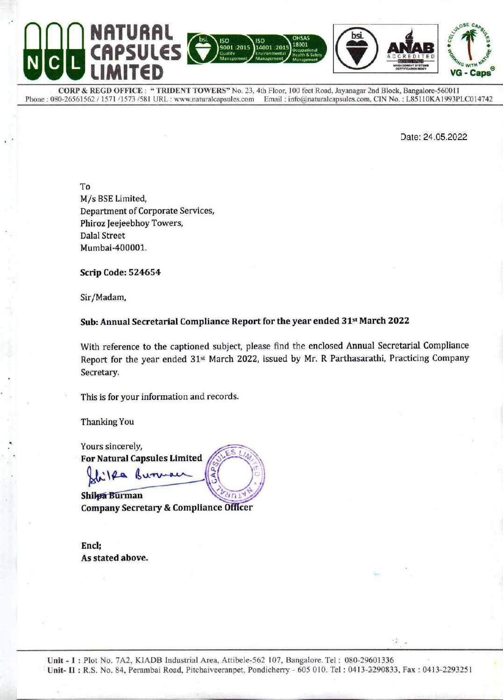

CORP & REGD OFFICE : "TRIDENT TOWERS" No. 23, 4th Floor, 100 feet Road, Jayanagar 2nd Block, Bangalore-560011 Phone: 080-26561562 / 1571 /1573 /581 URL: www.naturalcapsules.com Email: info@naturalcapsules.com, CIN No.: L85110KA1993PLC014742

Date: 24.05.2022

To M/s BSE Limited, **Department of Corporate Services,** Phiroz Jeejeebhoy Towers, **Dalal Street** Mumbai-400001.

**Scrip Code: 524654** 

Sir/Madam,

### Sub: Annual Secretarial Compliance Report for the year ended 31<sup>st</sup> March 2022

With reference to the captioned subject, please find the enclosed Annual Secretarial Compliance Report for the year ended 31<sup>st</sup> March 2022, issued by Mr. R Parthasarathi, Practicing Company Secretary.

This is for your information and records.

**Thanking You** 

Yours sincerely, **For Natural Capsules Limited** illa Burn

Shilpa Burman **Company Secretary & Compliance Officer** 

Encl; As stated above.

Unit - I: Plot No. 7A2, KIADB Industrial Area, Attibele-562 107, Bangalore. Tel: 080-29601336 Unit- II: R.S. No. 84, Perambai Road, Pitchaiveeranpet, Pondicherry - 605 010. Tel: 0413-2290833, Fax: 0413-2293251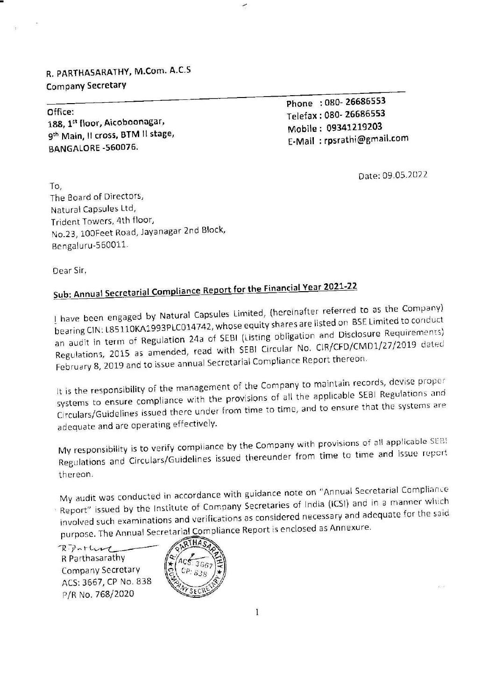R. PARTHASARATHY, M.Com. A.C.S Company Secretary R. PARTHASARATHY, M.Com. A.C.S<br>Company Secretary<br>————————————————————————————

188, 1<sup>st</sup> floor, Aicoboonagar, **Telefax ; 080-26686533** 9<sup>th</sup> Main, II cross, BTM II stage, BANGALORE -560076. E-Mail : rpsrathi@gmail.com

Phone : 080- 26686553<br>Office: Phone : 080- 26686553<br>Telefax : 080- 26686553

Date: 09.05.2022

To, The Board of Directors, Natural Capsules Ltd, Trident Towers, 4th floor, No.23, 100Feet Road, Jayanagar 2nd Block, Bengaluru-560011.

Dear Sir,

# Sub: Annual Secretarial Compliance Report for the Financial Year 2021-22

| have been engaged by Natural Capsules Limited, {hereinafter referred to as the Company) bearing CIN: L85110KA1993PLC014742, whose equity shares are listed on BSE Limited to conduct an audit in term of Regulation 24a of SEBI (Listing obligation and Disclosure Requirements) Regulations, 2015 as amended, read with SEBI Circular No. CIR/CFD/CMD1/27/2019 dated February 8, 2019 and to issue annual Secretarial Compliance Report thereon.

 $\check{\phantom{a}}$ 

It is the responsibility of the management of the Company to maintain records, devise proper systems to ensure compliance with the provisions of all the applicable SEBI Regulations and Circulars/Guidelines issued there under from time to time, and to ensure that the systems are adequate and are operating effectively.

My responsibility is to verify compliance by the Company with provisions of all applicable SEB! Regulations and Circulars/Guidelines issued thereunder from time to time and issue repert thereon.

My audit was conducted in accordance with guidance note on "Annual Secretarial Compliance Report" issued by the Institute of Company Secretaries of India (ICS!) and in a manner which involved such examinations and verifications as considered necessary and adequate for the said purpose. The Annual Secretarial Compliance Report is enclosed as Annexure.

R.Portung R Parthasarathy Company Secretary ACS: 3667, CP No. 838 P/R No. 768/2020

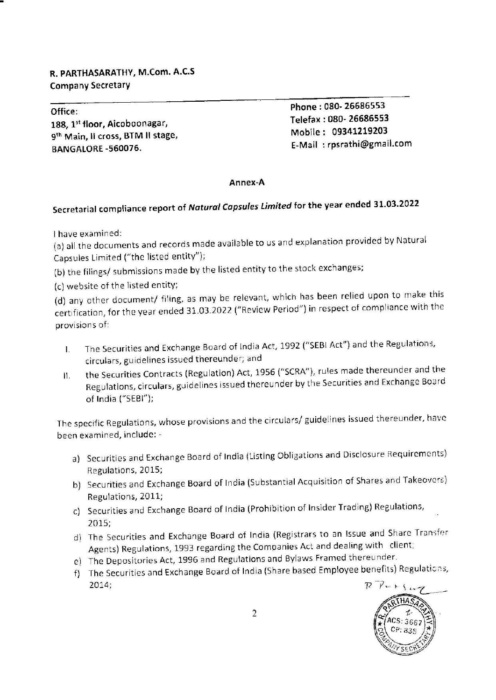# R. PARTHASARATHY, M.Com. A.C.S R. PARTHASARATHY, M.Com. A.C.S<br>Company Secretary<br>———————————————————— Company Secretary

188, 1st floor, Aicoboonagar, Telefax : 080- 26686555<br>Olb Mobile : 09341219203 9<sup>th</sup> Main, II cross, BTM II stage, BANGALORE -560076. The state of the set of the set of the E-Mail : rpsrathi@gmail.com

Office: Phone : 080- <sup>26686553</sup>

## Annex-A

## Secretarial compliance report of Natural Capsules Limited for the year ended 31.03.2022

| have examined:

(a) all the documents and records made available to us and explanation provided by Natural Capsules Limited ("the listed entity");

(b) the filings/ submissions made by the listed entity to the stock exchanges;

(c) website of the listed entity;

(d) any other document/ filing, as may be relevant, which has been relied upon to make this certification, for the year ended 31.03.2022 ("Review Period"} in respect of compliance with the provisions of:

- The Securities and Exchange Board of India Act, 1992 ("SEBI Act") and the Regulations, 1. circulars, guidelines issued thereunder; and
- the Securities Contracts (Regulation) Act, 1956 ("SCRA"), rules made thereunder and the 11. Regulations, circulars, guidelines issued thereunder by the Securities and Exchange Board of India ("SEBI");

The specific Regulations, whose provisions and the circulars/ guidelines issued thereunder, have been examined, include: -

- a) Securities and Exchange Board of India (Listing Obligations and Disclosure Requirements) Regulations, 2015;
- b) Securities and Exchange Board of India (Substantial Acquisition of Shares and Takeovers} Regulations, 2011;
- ¢) Securities and Exchange Board of India (Prohibition of insider Trading) Regulations, 2015;
- The Securities and Exchange Board of India (Registrars to an Issue and Share Transfer Agents) Regulations, 1993 regarding the Companies Act and dealing with client;
- The Depositories Act, 1996 and Regulations and Bylaws Framed thereunder.
- The Securities and Exchange Board of India (Share based Employee benefits) Regulaticns, 2014;

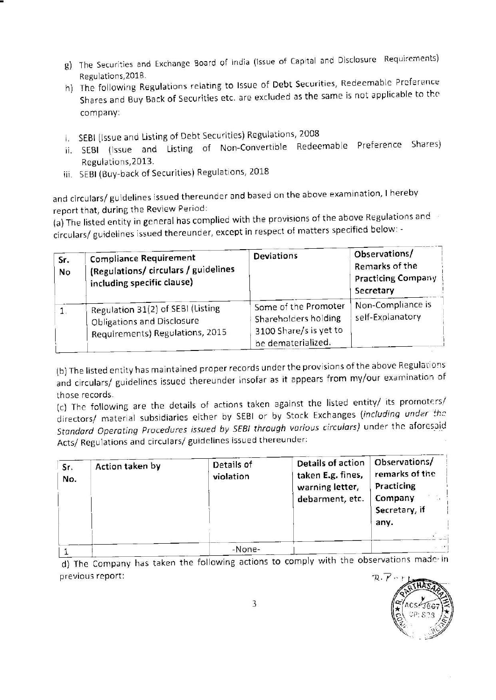- g) The Securities and Exchange Board of india (issue of Capital and Disclosure Requirements) Regulations,2018.
- h) The following Regulations relating to Issue of Debt Securities, Redeemable Preference Shares and Buy Back of Securities etc. are excluded as the same is not applicable to the company: g) The Securities and Exchange Board of Indi<br>Regulations, 2018.<br>
h) The following Regulations relating to Iss<br>
Shares and Buy Back of Securities etc. ar<br>
company:<br>
i. SEBI (Issue and Listing of Debt Securities)<br>
ii. SEBI (
- i. SEBI (Issue and Listing of Debt Securities) Regulations, <sup>2008</sup>
- ji. SEB! {Issue and Listing of Non-Convertible Redeemable Preference Shares) Regulations,2013.
- iii, SEBI (Buy-back of Securities) Regulations, 2018

| g)        | The Securities and Exchange Board of India (Issue of Capital and Disclosure Requirements)                                                                                                                                                                                                                                        |                                                                                              |                                                                           |  |  |  |  |
|-----------|----------------------------------------------------------------------------------------------------------------------------------------------------------------------------------------------------------------------------------------------------------------------------------------------------------------------------------|----------------------------------------------------------------------------------------------|---------------------------------------------------------------------------|--|--|--|--|
|           | Regulations, 2018.<br>h) The following Regulations relating to Issue of Debt Securities, Redeemable Preference<br>Shares and Buy Back of Securities etc. are excluded as the same is not applicable to the<br>company:                                                                                                           |                                                                                              |                                                                           |  |  |  |  |
| i.<br>ii. | SEBI (Issue and Listing of Debt Securities) Regulations, 2008<br>Listing of<br>and<br>(Issue<br><b>SEBI</b><br>Regulations, 2013.<br>iii. SEBI (Buy-back of Securities) Regulations, 2018                                                                                                                                        | Redeemable<br>Non-Convertible                                                                | Shares)<br>Preference                                                     |  |  |  |  |
|           |                                                                                                                                                                                                                                                                                                                                  |                                                                                              |                                                                           |  |  |  |  |
|           | and circulars/ guidelines issued thereunder and based on the above examination, I hereby<br>report that, during the Review Period:<br>(a) The listed entity in general has complied with the provisions of the above Regulations and<br>circulars/ guidelines issued thereunder, except in respect of matters specified below: - |                                                                                              |                                                                           |  |  |  |  |
| Sr.<br>No | <b>Compliance Requirement</b><br>(Regulations/ circulars / guidelines<br>including specific clause)                                                                                                                                                                                                                              | <b>Deviations</b>                                                                            | Observations/<br>Remarks of the<br><b>Practicing Company</b><br>Secretary |  |  |  |  |
| 1.        | Regulation 31(2) of SEBI (Listing<br><b>Obligations and Disclosure</b><br>Requirements) Regulations, 2015                                                                                                                                                                                                                        | Some of the Promoter<br>Shareholders holding<br>3100 Share/s is yet to<br>be dematerialized. | Non-Compliance is<br>self-Explanatory                                     |  |  |  |  |

| Sr.<br>No. | Action taken by | Details of<br>violation | Details of action<br>taken E.g. fines,<br>warning letter,<br>debarment, etc. | Observations/<br>remarks of the<br>Practicing<br>Company<br>Secretary, if<br>any. |
|------------|-----------------|-------------------------|------------------------------------------------------------------------------|-----------------------------------------------------------------------------------|
|            |                 | -None-                  |                                                                              |                                                                                   |

d) The Company has taken the following actions to comply with the observations made in previous report: